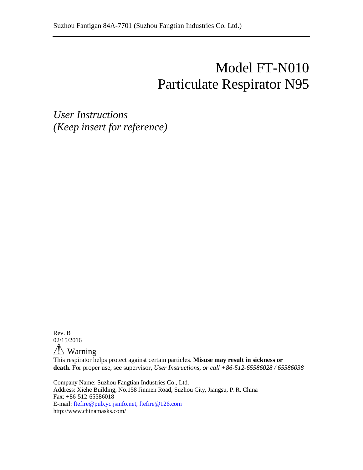# Model FT-N010 Particulate Respirator N95

*User Instructions (Keep insert for reference)*

Rev. B 02/15/2016

 $\sqrt{N}$  Warning

This respirator helps protect against certain particles. **Misuse may result in sickness or death.** For proper use, see supervisor, *User Instructions, or call +86-512-65586028 / 65586038*

Company Name: Suzhou Fangtian Industries Co., Ltd. Address: Xiehe Building, No.158 Jinmen Road, Suzhou City, Jiangsu, P. R. China Fax: +86-512-65586018 E-mail: [ftefire@pub.yc.jsinfo.net,](mailto:ftefire@pub.yc.jsinfo.net) [ftefire@126.com](mailto:ftefire@126.com) http://www.chinamasks.com/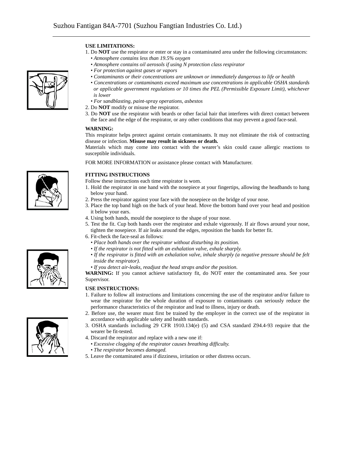## **USE LIMITATIONS:**

- 1. Do **NOT** use the respirator or enter or stay in a contaminated area under the following circumstances: *• Atmosphere contains less than 19.5% oxygen*
	- *Atmosphere contains oil aerosols if using N protection class respirator*
	- *For protection against gases or vapors*
	- *Contaminants or their concentrations are unknown or immediately dangerous to life or health*
- *Concentrations or contaminants exceed maximum use concentrations in applicable OSHA standards or applicable government regulations or 10 times the PEL (Permissible Exposure Limit), whichever is lower*
- *For sandblasting, paint-spray operations, asbestos*
- 2. Do **NOT** modify or misuse the respirator.
- 3. Do **NOT** use the respirator with beards or other facial hair that interferes with direct contact between the face and the edge of the respirator, or any other conditions that may prevent a good face-seal.

#### **WARNING:**

This respirator helps protect against certain contaminants. It may not eliminate the risk of contracting disease or infection. **Misuse may result in sickness or death.**

Materials which may come into contact with the wearer's skin could cause allergic reactions to susceptible individuals.

FOR MORE INFORMATION or assistance please contact with Manufacturer.

## **FITTING INSTRUCTIONS**

Follow these instructions each time respirator is worn.

- 1. Hold the respirator in one hand with the nosepiece at your fingertips, allowing the headbands to hang below your hand.
- 2. Press the respirator against your face with the nosepiece on the bridge of your nose.
- 3. Place the top band high on the back of your head. Move the bottom band over your head and position it below your ears.
- 4. Using both hands, mould the nosepiece to the shape of your nose.
- 5. Test the fit. Cup both hands over the respirator and exhale vigorously. If air flows around your nose, tighten the nosepiece. If air leaks around the edges, reposition the bands for better fit.

6. Fit-check the face-seal as follows:

- *Place both hands over the respirator without disturbing its position.*
- *If the respirator is not fitted with an exhalation valve, exhale sharply.*
- *If the respirator is fitted with an exhalation valve, inhale sharply (a negative pressure should be felt inside the respirator).*
- *If you detect air-leaks, readjust the head straps and/or the position.*

**WARNING:** If you cannot achieve satisfactory fit, do NOT enter the contaminated area. See your Supervisor.

#### **USE INSTRUCTIONS:**

- 1. Failure to follow all instructions and limitations concerning the use of the respirator and/or failure to wear the respirator for the whole duration of exposure to contaminants can seriously reduce the performance characteristics of the respirator and lead to illness, injury or death.
- 2. Before use, the wearer must first be trained by the employer in the correct use of the respirator in accordance with applicable safety and health standards.
- 3. OSHA standards including 29 CFR 1910.134(e) (5) and CSA standard Z94.4-93 require that the wearer be fit-tested.
- 4. Discard the respirator and replace with a new one if:
	- *Excessive clogging of the respirator causes breathing difficulty.*
	- *The respirator becomes damaged.*
- 5. Leave the contaminated area if dizziness, irritation or other distress occurs.